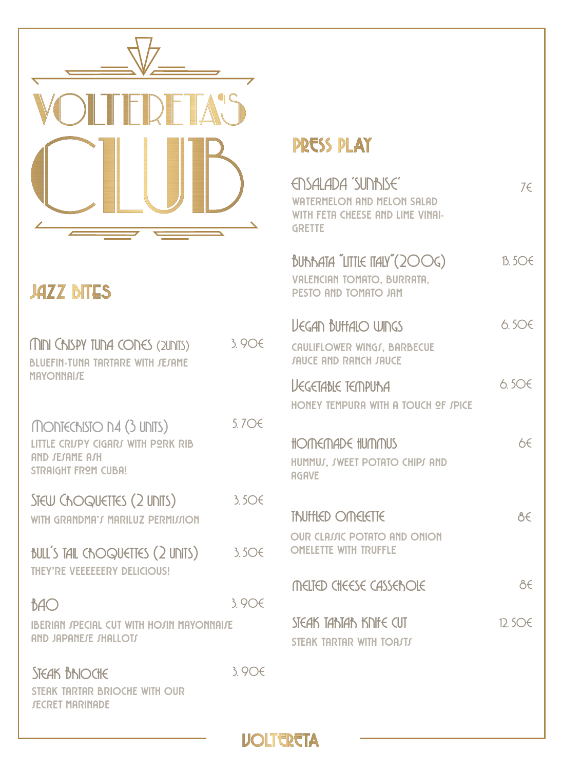

## **JAZZ BITES**

| MINI CAISPY TUNA CONES (2UNTS)<br>BLUEFIN-TUNA TARTARE WITH JEJAME<br><b>MAYONNAIJE</b>                 | 3906  |
|---------------------------------------------------------------------------------------------------------|-------|
| MONTECHISTO N4 (3 UNITS)<br>LITTLE CRIJPY CIGARJ WITH PORK RIB<br>AND JEJAME AJH<br>STRAIGHT FROM CUBA! | 5.7○€ |
| STEW CHOQUETTES (2 UNITS)<br>WITH GRANDMA'S MARILUZ PERMISSION                                          | 3.506 |
| BULL'S TAIL CROQUETTES (2 UNITS)<br>THEY'RE VEEEEEERY DELICIOUS!                                        | 3.506 |
| BAO<br><b>IBERIAN SPECIAL CUT WITH HOSIN MAYONNAISE</b><br>AND JAPANEJE JHALLOTJ                        | 3.906 |
| <b>STEAK BRIOCHE</b><br>STEAK TARTAR BRIOCHE WITH OUR<br><b>JECRET MARINADE</b>                         | 3906  |

## **PRESS PLAY**

| ENSALADA 'SUNBISE'<br><b>WATERMELON AND MELON SALAD</b><br>WITH FETA CHEESE AND LIME VINAL<br><b>GRETTE</b> | 7€                |
|-------------------------------------------------------------------------------------------------------------|-------------------|
| BURRATA "LITTIE ITALY"(200G)<br><b>VALENCIAN TOMATO, BURRATA.</b><br>PESTO AND TOMATO JAM                   | $B$ 50 $\epsilon$ |
| <b>VEGAN BUTTALO WINGS</b><br>CAULIFLOWER WINGS, BARBECUE<br><b><i>IAUCE AND RANCH JAUCE</i></b>            | 6506              |
| <b>UEGETABLE TEMPUNA</b><br>HONEY TEMPURA WITH A TOUCH OF JPICE                                             | 6506              |
| HOMEMADE HUMMUS<br>HUMMUS, SWEET POTATO CHIPS AND<br><b>AGAVE</b>                                           | b€                |
| TNIFFIED OMEIETTE<br><b>OUR CLAIJIC POTATO AND ONION</b><br><b>OMELETTE WITH TRUFFLE</b>                    | ರ್ಕಿ              |
| MELTED CHEESE CASSEBOIE                                                                                     | ÅE                |
| STEAK TANTAN KNIFE CUT<br>STEAK TARTAR WITH TOAJTJ                                                          | 12506             |

**VOLTERETA**